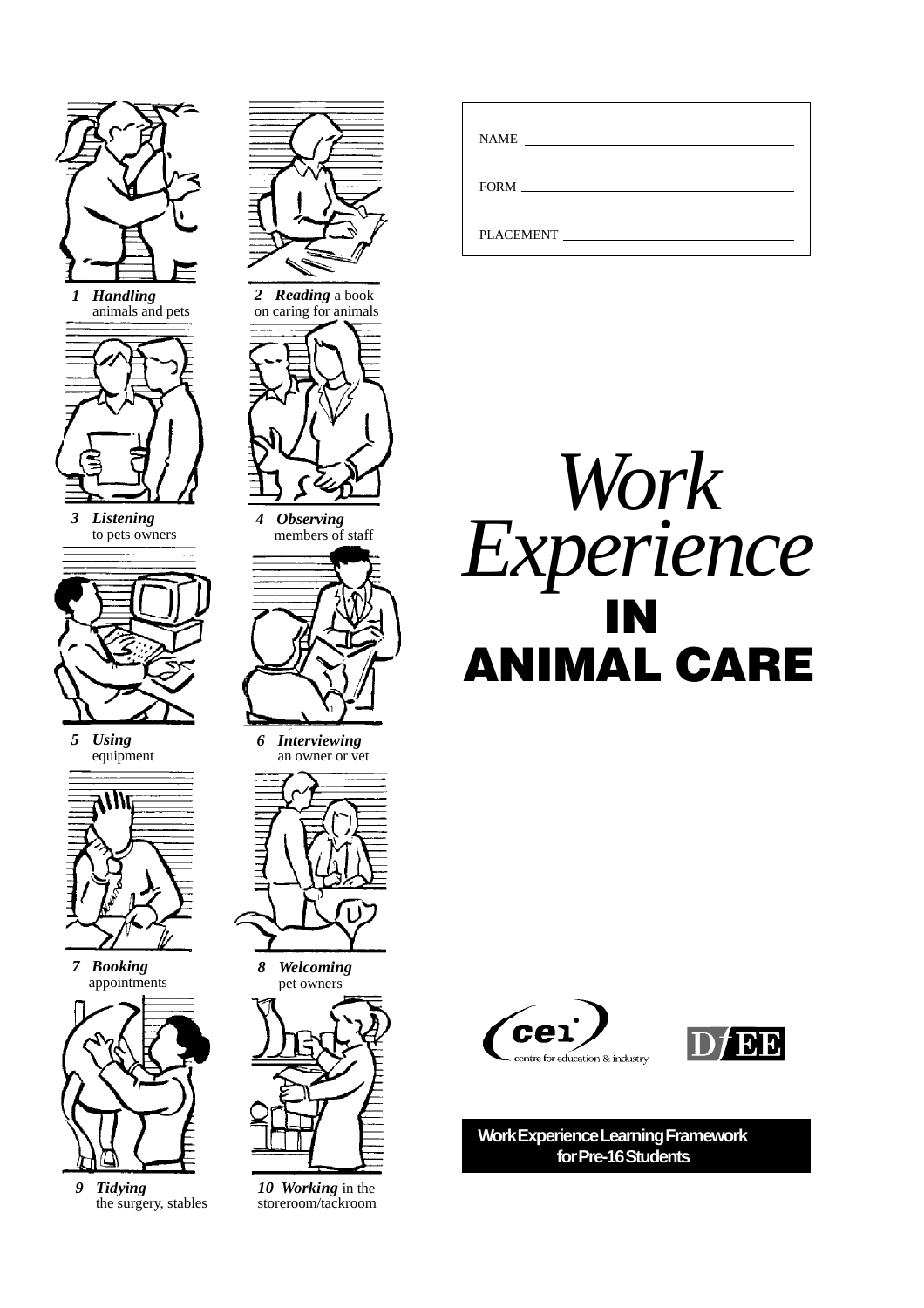

*1 Handling* animals and pets



*3 Listening* to pets owners



*5 Using* equipment



*7 Booking* appointments



*9 Tidying* the surgery, stables



*2 Reading* a book on caring for animals



*4 Observing* members of staff



*6 Interviewing* an owner or vet



*8 Welcoming* pet owners



*10 Working* in the storeroom/tackroom

| NAME <b>NAME</b> |
|------------------|
|                  |
| PLACEMENT        |







**Work Experience Learning Framework for Pre-16 Students**